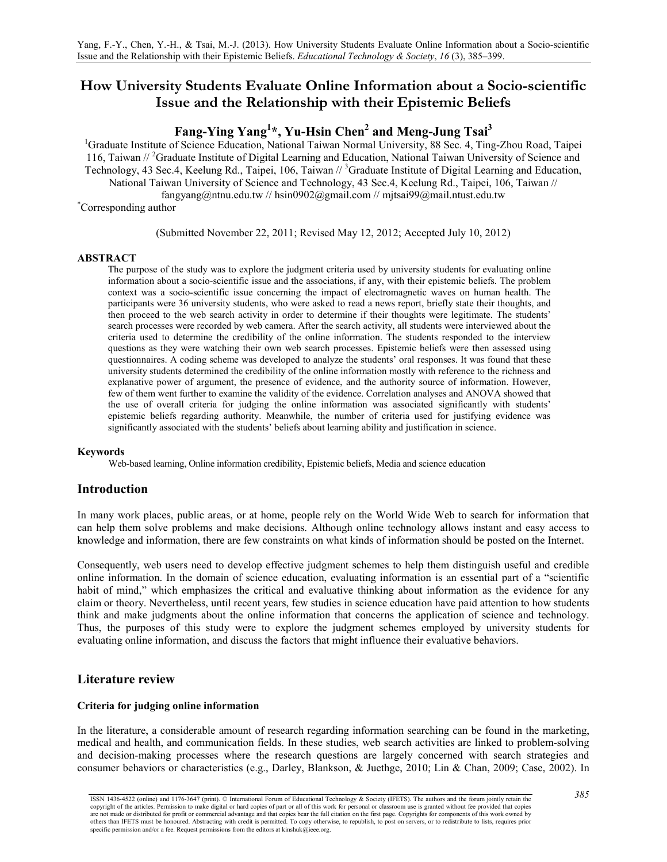# **How University Students Evaluate Online Information about a Socio-scientific Issue and the Relationship with their Epistemic Beliefs**

# **Fang-Ying Yang1 \*, Yu-Hsin Chen2 and Meng-Jung Tsai3**

<sup>1</sup>Graduate Institute of Science Education, National Taiwan Normal University, 88 Sec. 4, Ting-Zhou Road, Taipei 116, Taiwan // <sup>2</sup>Graduate Institute of Digital Learning and Education, National Taiwan University of Science and Technology, 43 Sec.4, Keelung Rd., Taipei, 106, Taiwan // <sup>3</sup>Graduate Institute of Digital Learning and Education, National Taiwan University of Science and Technology, 43 Sec.4, Keelung Rd., Taipei, 106, Taiwan // [fangyang@ntnu.edu.tw](mailto:fangyang@ntnu.edu.tw) // [hsin0902@gmail.com](mailto:hsin0902@gmail.com) // [mjtsai99@mail.ntust.edu.tw](mailto:mjtsai99@mail.ntust.edu.tw) Corresponding author

(Submitted November 22, 2011; Revised May 12, 2012; Accepted July 10, 2012)

## **ABSTRACT**

The purpose of the study was to explore the judgment criteria used by university students for evaluating online information about a socio-scientific issue and the associations, if any, with their epistemic beliefs. The problem context was a socio-scientific issue concerning the impact of electromagnetic waves on human health. The participants were 36 university students, who were asked to read a news report, briefly state their thoughts, and then proceed to the web search activity in order to determine if their thoughts were legitimate. The students' search processes were recorded by web camera. After the search activity, all students were interviewed about the criteria used to determine the credibility of the online information. The students responded to the interview questions as they were watching their own web search processes. Epistemic beliefs were then assessed using questionnaires. A coding scheme was developed to analyze the students' oral responses. It was found that these university students determined the credibility of the online information mostly with reference to the richness and explanative power of argument, the presence of evidence, and the authority source of information. However, few of them went further to examine the validity of the evidence. Correlation analyses and ANOVA showed that the use of overall criteria for judging the online information was associated significantly with students' epistemic beliefs regarding authority. Meanwhile, the number of criteria used for justifying evidence was significantly associated with the students' beliefs about learning ability and justification in science.

## **Keywords**

Web-based learning, Online information credibility, Epistemic beliefs, Media and science education

## **Introduction**

In many work places, public areas, or at home, people rely on the World Wide Web to search for information that can help them solve problems and make decisions. Although online technology allows instant and easy access to knowledge and information, there are few constraints on what kinds of information should be posted on the Internet.

Consequently, web users need to develop effective judgment schemes to help them distinguish useful and credible online information. In the domain of science education, evaluating information is an essential part of a "scientific habit of mind," which emphasizes the critical and evaluative thinking about information as the evidence for any claim or theory. Nevertheless, until recent years, few studies in science education have paid attention to how students think and make judgments about the online information that concerns the application of science and technology. Thus, the purposes of this study were to explore the judgment schemes employed by university students for evaluating online information, and discuss the factors that might influence their evaluative behaviors.

## **Literature review**

## **Criteria for judging online information**

In the literature, a considerable amount of research regarding information searching can be found in the marketing, medical and health, and communication fields. In these studies, web search activities are linked to problem-solving and decision-making processes where the research questions are largely concerned with search strategies and consumer behaviors or characteristics (e.g., Darley, Blankson, & Juethge, 2010; Lin & Chan, 2009; Case, 2002). In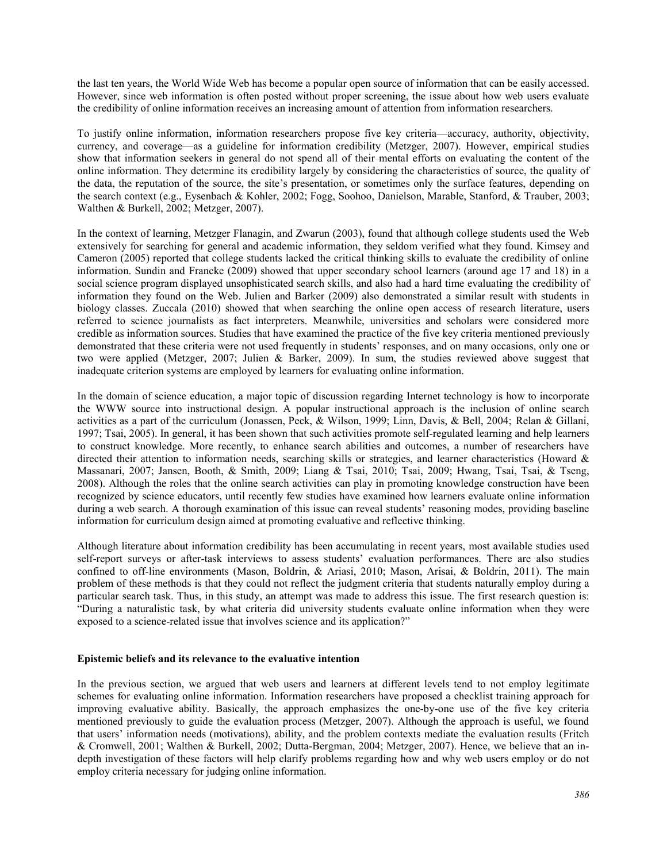the last ten years, the World Wide Web has become a popular open source of information that can be easily accessed. However, since web information is often posted without proper screening, the issue about how web users evaluate the credibility of online information receives an increasing amount of attention from information researchers.

To justify online information, information researchers propose five key criteria—accuracy, authority, objectivity, currency, and coverage—as a guideline for information credibility (Metzger, 2007). However, empirical studies show that information seekers in general do not spend all of their mental efforts on evaluating the content of the online information. They determine its credibility largely by considering the characteristics of source, the quality of the data, the reputation of the source, the site's presentation, or sometimes only the surface features, depending on the search context (e.g., Eysenbach & Kohler, 2002; Fogg, Soohoo, Danielson, Marable, Stanford, & Trauber, 2003; Walthen & Burkell, 2002; Metzger, 2007).

In the context of learning, Metzger Flanagin, and Zwarun (2003), found that although college students used the Web extensively for searching for general and academic information, they seldom verified what they found. Kimsey and Cameron (2005) reported that college students lacked the critical thinking skills to evaluate the credibility of online information. Sundin and Francke (2009) showed that upper secondary school learners (around age 17 and 18) in a social science program displayed unsophisticated search skills, and also had a hard time evaluating the credibility of information they found on the Web. Julien and Barker (2009) also demonstrated a similar result with students in biology classes. Zuccala (2010) showed that when searching the online open access of research literature, users referred to science journalists as fact interpreters. Meanwhile, universities and scholars were considered more credible as information sources. Studies that have examined the practice of the five key criteria mentioned previously demonstrated that these criteria were not used frequently in students' responses, and on many occasions, only one or two were applied (Metzger, 2007; Julien & Barker, 2009). In sum, the studies reviewed above suggest that inadequate criterion systems are employed by learners for evaluating online information.

In the domain of science education, a major topic of discussion regarding Internet technology is how to incorporate the WWW source into instructional design. A popular instructional approach is the inclusion of online search activities as a part of the curriculum (Jonassen, Peck, & Wilson, 1999; Linn, Davis, & Bell, 2004; Relan & Gillani, 1997; Tsai, 2005). In general, it has been shown that such activities promote self-regulated learning and help learners to construct knowledge. More recently, to enhance search abilities and outcomes, a number of researchers have directed their attention to information needs, searching skills or strategies, and learner characteristics (Howard & Massanari, 2007; Jansen, Booth, & Smith, 2009; Liang & Tsai, 2010; Tsai, 2009; Hwang, Tsai, Tsai, & Tseng, 2008). Although the roles that the online search activities can play in promoting knowledge construction have been recognized by science educators, until recently few studies have examined how learners evaluate online information during a web search. A thorough examination of this issue can reveal students' reasoning modes, providing baseline information for curriculum design aimed at promoting evaluative and reflective thinking.

Although literature about information credibility has been accumulating in recent years, most available studies used self-report surveys or after-task interviews to assess students' evaluation performances. There are also studies confined to off-line environments (Mason, Boldrin, & Ariasi, 2010; Mason, Arisai, & Boldrin, 2011). The main problem of these methods is that they could not reflect the judgment criteria that students naturally employ during a particular search task. Thus, in this study, an attempt was made to address this issue. The first research question is: "During a naturalistic task, by what criteria did university students evaluate online information when they were exposed to a science-related issue that involves science and its application?"

## **Epistemic beliefs and its relevance to the evaluative intention**

In the previous section, we argued that web users and learners at different levels tend to not employ legitimate schemes for evaluating online information. Information researchers have proposed a checklist training approach for improving evaluative ability. Basically, the approach emphasizes the one-by-one use of the five key criteria mentioned previously to guide the evaluation process (Metzger, 2007). Although the approach is useful, we found that users' information needs (motivations), ability, and the problem contexts mediate the evaluation results (Fritch & Cromwell, 2001; Walthen & Burkell, 2002; Dutta-Bergman, 2004; Metzger, 2007). Hence, we believe that an indepth investigation of these factors will help clarify problems regarding how and why web users employ or do not employ criteria necessary for judging online information.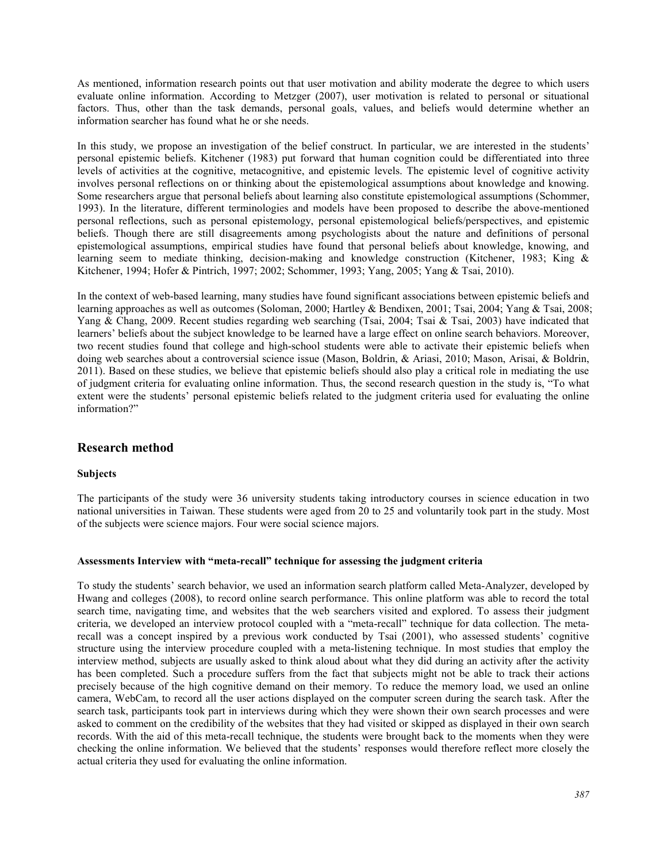As mentioned, information research points out that user motivation and ability moderate the degree to which users evaluate online information. According to Metzger (2007), user motivation is related to personal or situational factors. Thus, other than the task demands, personal goals, values, and beliefs would determine whether an information searcher has found what he or she needs.

In this study, we propose an investigation of the belief construct. In particular, we are interested in the students' personal epistemic beliefs. Kitchener (1983) put forward that human cognition could be differentiated into three levels of activities at the cognitive, metacognitive, and epistemic levels. The epistemic level of cognitive activity involves personal reflections on or thinking about the epistemological assumptions about knowledge and knowing. Some researchers argue that personal beliefs about learning also constitute epistemological assumptions (Schommer, 1993). In the literature, different terminologies and models have been proposed to describe the above-mentioned personal reflections, such as personal epistemology, personal epistemological beliefs/perspectives, and epistemic beliefs. Though there are still disagreements among psychologists about the nature and definitions of personal epistemological assumptions, empirical studies have found that personal beliefs about knowledge, knowing, and learning seem to mediate thinking, decision-making and knowledge construction (Kitchener, 1983; King & Kitchener, 1994; Hofer & Pintrich, 1997; 2002; Schommer, 1993; Yang, 2005; Yang & Tsai, 2010).

In the context of web-based learning, many studies have found significant associations between epistemic beliefs and learning approaches as well as outcomes (Soloman, 2000; Hartley & Bendixen, 2001; Tsai, 2004; Yang & Tsai, 2008; Yang & Chang, 2009. Recent studies regarding web searching (Tsai, 2004; Tsai & Tsai, 2003) have indicated that learners' beliefs about the subject knowledge to be learned have a large effect on online search behaviors. Moreover, two recent studies found that college and high-school students were able to activate their epistemic beliefs when doing web searches about a controversial science issue (Mason, Boldrin, & Ariasi, 2010; Mason, Arisai, & Boldrin, 2011). Based on these studies, we believe that epistemic beliefs should also play a critical role in mediating the use of judgment criteria for evaluating online information. Thus, the second research question in the study is, "To what extent were the students' personal epistemic beliefs related to the judgment criteria used for evaluating the online information?"

## **Research method**

## **Subjects**

The participants of the study were 36 university students taking introductory courses in science education in two national universities in Taiwan. These students were aged from 20 to 25 and voluntarily took part in the study. Most of the subjects were science majors. Four were social science majors.

## **Assessments Interview with "meta-recall" technique for assessing the judgment criteria**

To study the students' search behavior, we used an information search platform called Meta-Analyzer, developed by Hwang and colleges (2008), to record online search performance. This online platform was able to record the total search time, navigating time, and websites that the web searchers visited and explored. To assess their judgment criteria, we developed an interview protocol coupled with a "meta-recall" technique for data collection. The metarecall was a concept inspired by a previous work conducted by Tsai (2001), who assessed students' cognitive structure using the interview procedure coupled with a meta-listening technique. In most studies that employ the interview method, subjects are usually asked to think aloud about what they did during an activity after the activity has been completed. Such a procedure suffers from the fact that subjects might not be able to track their actions precisely because of the high cognitive demand on their memory. To reduce the memory load, we used an online camera, WebCam, to record all the user actions displayed on the computer screen during the search task. After the search task, participants took part in interviews during which they were shown their own search processes and were asked to comment on the credibility of the websites that they had visited or skipped as displayed in their own search records. With the aid of this meta-recall technique, the students were brought back to the moments when they were checking the online information. We believed that the students' responses would therefore reflect more closely the actual criteria they used for evaluating the online information.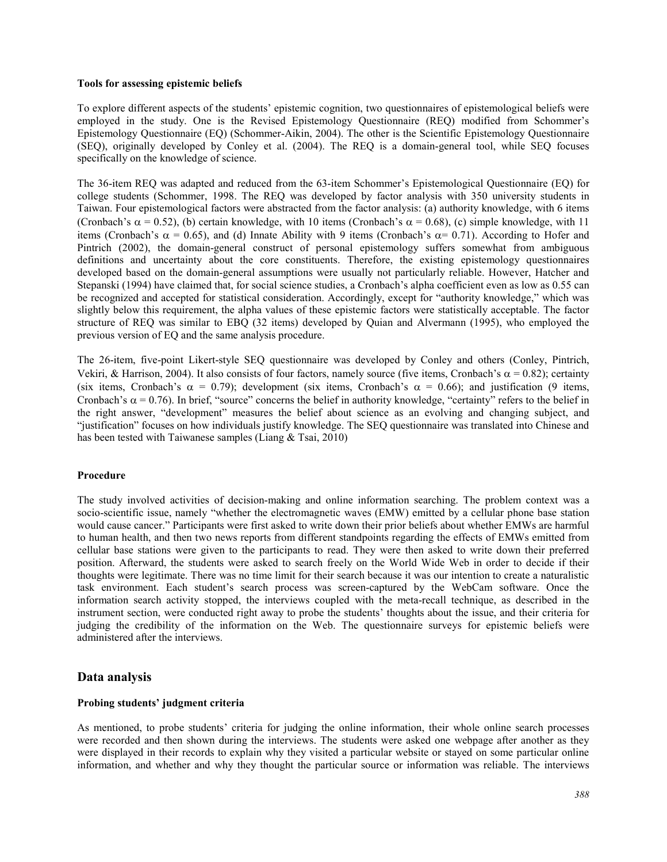## **Tools for assessing epistemic beliefs**

To explore different aspects of the students' epistemic cognition, two questionnaires of epistemological beliefs were employed in the study. One is the Revised Epistemology Questionnaire (REQ) modified from Schommer's Epistemology Questionnaire (EQ) (Schommer-Aikin, 2004). The other is the Scientific Epistemology Questionnaire (SEQ), originally developed by Conley et al. (2004). The REQ is a domain-general tool, while SEQ focuses specifically on the knowledge of science.

The 36-item REQ was adapted and reduced from the 63-item Schommer's Epistemological Questionnaire (EQ) for college students (Schommer, 1998. The REQ was developed by factor analysis with 350 university students in Taiwan. Four epistemological factors were abstracted from the factor analysis: (a) authority knowledge, with 6 items (Cronbach's  $\alpha = 0.52$ ), (b) certain knowledge, with 10 items (Cronbach's  $\alpha = 0.68$ ), (c) simple knowledge, with 11 items (Cronbach's  $\alpha = 0.65$ ), and (d) Innate Ability with 9 items (Cronbach's  $\alpha = 0.71$ ). According to Hofer and Pintrich (2002), the domain-general construct of personal epistemology suffers somewhat from ambiguous definitions and uncertainty about the core constituents. Therefore, the existing epistemology questionnaires developed based on the domain-general assumptions were usually not particularly reliable. However, Hatcher and Stepanski (1994) have claimed that, for social science studies, a Cronbach's alpha coefficient even as low as 0.55 can be recognized and accepted for statistical consideration. Accordingly, except for "authority knowledge," which was slightly below this requirement, the alpha values of these epistemic factors were statistically acceptable. The factor structure of REQ was similar to EBQ (32 items) developed by Quian and Alvermann (1995), who employed the previous version of EQ and the same analysis procedure.

The 26-item, five-point Likert-style SEQ questionnaire was developed by Conley and others (Conley, Pintrich, Vekiri, & Harrison, 2004). It also consists of four factors, namely source (five items, Cronbach's  $\alpha = 0.82$ ); certainty (six items, Cronbach's  $\alpha = 0.79$ ); development (six items, Cronbach's  $\alpha = 0.66$ ); and justification (9 items, Cronbach's  $\alpha$  = 0.76). In brief, "source" concerns the belief in authority knowledge, "certainty" refers to the belief in the right answer, "development" measures the belief about science as an evolving and changing subject, and "justification" focuses on how individuals justify knowledge. The SEQ questionnaire was translated into Chinese and has been tested with Taiwanese samples (Liang & Tsai, 2010)

## **Procedure**

The study involved activities of decision-making and online information searching. The problem context was a socio-scientific issue, namely "whether the electromagnetic waves (EMW) emitted by a cellular phone base station would cause cancer." Participants were first asked to write down their prior beliefs about whether EMWs are harmful to human health, and then two news reports from different standpoints regarding the effects of EMWs emitted from cellular base stations were given to the participants to read. They were then asked to write down their preferred position. Afterward, the students were asked to search freely on the World Wide Web in order to decide if their thoughts were legitimate. There was no time limit for their search because it was our intention to create a naturalistic task environment. Each student's search process was screen-captured by the WebCam software. Once the information search activity stopped, the interviews coupled with the meta-recall technique, as described in the instrument section, were conducted right away to probe the students' thoughts about the issue, and their criteria for judging the credibility of the information on the Web. The questionnaire surveys for epistemic beliefs were administered after the interviews.

## **Data analysis**

## **Probing students' judgment criteria**

As mentioned, to probe students' criteria for judging the online information, their whole online search processes were recorded and then shown during the interviews. The students were asked one webpage after another as they were displayed in their records to explain why they visited a particular website or stayed on some particular online information, and whether and why they thought the particular source or information was reliable. The interviews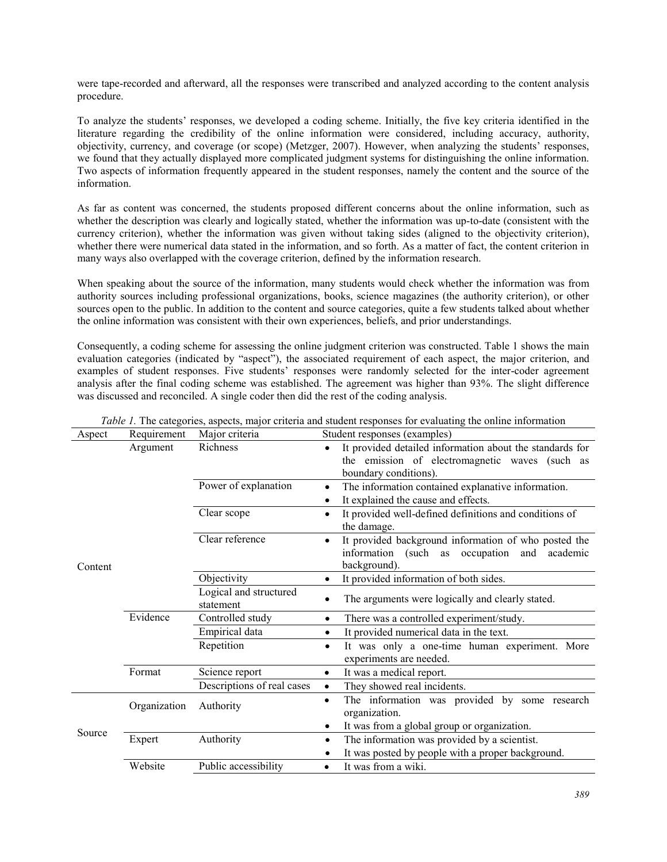were tape-recorded and afterward, all the responses were transcribed and analyzed according to the content analysis procedure.

To analyze the students' responses, we developed a coding scheme. Initially, the five key criteria identified in the literature regarding the credibility of the online information were considered, including accuracy, authority, objectivity, currency, and coverage (or scope) (Metzger, 2007). However, when analyzing the students' responses, we found that they actually displayed more complicated judgment systems for distinguishing the online information. Two aspects of information frequently appeared in the student responses, namely the content and the source of the information.

As far as content was concerned, the students proposed different concerns about the online information, such as whether the description was clearly and logically stated, whether the information was up-to-date (consistent with the currency criterion), whether the information was given without taking sides (aligned to the objectivity criterion), whether there were numerical data stated in the information, and so forth. As a matter of fact, the content criterion in many ways also overlapped with the coverage criterion, defined by the information research.

When speaking about the source of the information, many students would check whether the information was from authority sources including professional organizations, books, science magazines (the authority criterion), or other sources open to the public. In addition to the content and source categories, quite a few students talked about whether the online information was consistent with their own experiences, beliefs, and prior understandings.

Consequently, a coding scheme for assessing the online judgment criterion was constructed. Table 1 shows the main evaluation categories (indicated by "aspect"), the associated requirement of each aspect, the major criterion, and examples of student responses. Five students' responses were randomly selected for the inter-coder agreement analysis after the final coding scheme was established. The agreement was higher than 93%. The slight difference was discussed and reconciled. A single coder then did the rest of the coding analysis.

| Aspect  | Requirement                         | Major criteria             | Student responses (examples)                                                                                                            |
|---------|-------------------------------------|----------------------------|-----------------------------------------------------------------------------------------------------------------------------------------|
|         | Argument                            | Richness                   | It provided detailed information about the standards for<br>the emission of electromagnetic waves (such as                              |
|         |                                     |                            | boundary conditions).                                                                                                                   |
|         |                                     | Power of explanation       | The information contained explanative information.<br>$\bullet$<br>It explained the cause and effects.                                  |
|         |                                     | Clear scope                | It provided well-defined definitions and conditions of                                                                                  |
|         |                                     |                            | $\bullet$<br>the damage.                                                                                                                |
| Content |                                     | Clear reference            | It provided background information of who posted the<br>$\bullet$<br>information (such as<br>occupation<br>and academic<br>background). |
|         |                                     | Objectivity                | It provided information of both sides.<br>٠                                                                                             |
|         | Logical and structured<br>statement |                            | The arguments were logically and clearly stated.<br>$\bullet$                                                                           |
|         | Evidence                            | Controlled study           | There was a controlled experiment/study.<br>$\bullet$                                                                                   |
|         |                                     | Empirical data             | It provided numerical data in the text.<br>$\bullet$                                                                                    |
|         |                                     | Repetition                 | It was only a one-time human experiment. More<br>$\bullet$<br>experiments are needed.                                                   |
|         | Format                              | Science report             | It was a medical report.<br>$\bullet$                                                                                                   |
|         |                                     | Descriptions of real cases | They showed real incidents.<br>$\bullet$                                                                                                |
|         | Organization<br>Authority           |                            | The information was provided by some research<br>$\bullet$<br>organization.                                                             |
|         |                                     |                            | It was from a global group or organization.<br>٠                                                                                        |
| Source  | Expert                              | Authority                  | The information was provided by a scientist.<br>$\bullet$                                                                               |
|         |                                     |                            | It was posted by people with a proper background.<br>٠                                                                                  |
|         | Website                             | Public accessibility       | It was from a wiki.                                                                                                                     |

|  |  |  |  | <i>Table 1.</i> The categories, aspects, major criteria and student responses for evaluating the online information |
|--|--|--|--|---------------------------------------------------------------------------------------------------------------------|
|  |  |  |  |                                                                                                                     |
|  |  |  |  |                                                                                                                     |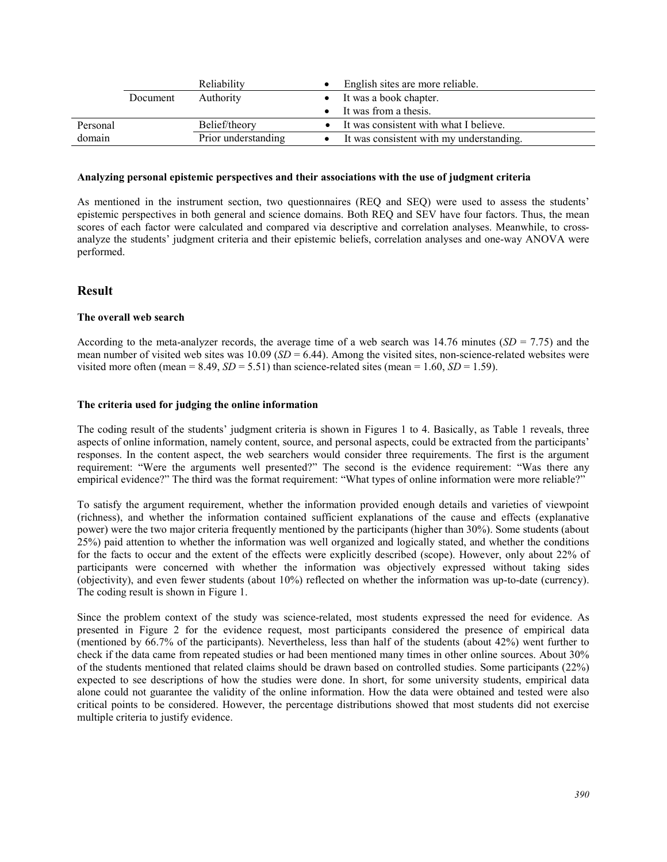|          | Reliability |                     | English sites are more reliable.         |
|----------|-------------|---------------------|------------------------------------------|
|          | Document    | Authority           | It was a book chapter.                   |
|          |             |                     | It was from a thesis.                    |
| Personal |             | Belief/theory       | It was consistent with what I believe.   |
| domain   |             | Prior understanding | It was consistent with my understanding. |

#### **Analyzing personal epistemic perspectives and their associations with the use of judgment criteria**

As mentioned in the instrument section, two questionnaires (REQ and SEQ) were used to assess the students' epistemic perspectives in both general and science domains. Both REQ and SEV have four factors. Thus, the mean scores of each factor were calculated and compared via descriptive and correlation analyses. Meanwhile, to crossanalyze the students' judgment criteria and their epistemic beliefs, correlation analyses and one-way ANOVA were performed.

## **Result**

## **The overall web search**

According to the meta-analyzer records, the average time of a web search was  $14.76$  minutes (*SD* = 7.75) and the mean number of visited web sites was 10.09 (*SD* = 6.44). Among the visited sites, non-science-related websites were visited more often (mean =  $8.49$ ,  $SD = 5.51$ ) than science-related sites (mean = 1.60,  $SD = 1.59$ ).

## **The criteria used for judging the online information**

The coding result of the students' judgment criteria is shown in Figures 1 to 4. Basically, as Table 1 reveals, three aspects of online information, namely content, source, and personal aspects, could be extracted from the participants' responses. In the content aspect, the web searchers would consider three requirements. The first is the argument requirement: "Were the arguments well presented?" The second is the evidence requirement: "Was there any empirical evidence?" The third was the format requirement: "What types of online information were more reliable?"

To satisfy the argument requirement, whether the information provided enough details and varieties of viewpoint (richness), and whether the information contained sufficient explanations of the cause and effects (explanative power) were the two major criteria frequently mentioned by the participants (higher than 30%). Some students (about 25%) paid attention to whether the information was well organized and logically stated, and whether the conditions for the facts to occur and the extent of the effects were explicitly described (scope). However, only about 22% of participants were concerned with whether the information was objectively expressed without taking sides (objectivity), and even fewer students (about 10%) reflected on whether the information was up-to-date (currency). The coding result is shown in Figure 1.

Since the problem context of the study was science-related, most students expressed the need for evidence. As presented in Figure 2 for the evidence request, most participants considered the presence of empirical data (mentioned by 66.7% of the participants). Nevertheless, less than half of the students (about 42%) went further to check if the data came from repeated studies or had been mentioned many times in other online sources. About 30% of the students mentioned that related claims should be drawn based on controlled studies. Some participants (22%) expected to see descriptions of how the studies were done. In short, for some university students, empirical data alone could not guarantee the validity of the online information. How the data were obtained and tested were also critical points to be considered. However, the percentage distributions showed that most students did not exercise multiple criteria to justify evidence.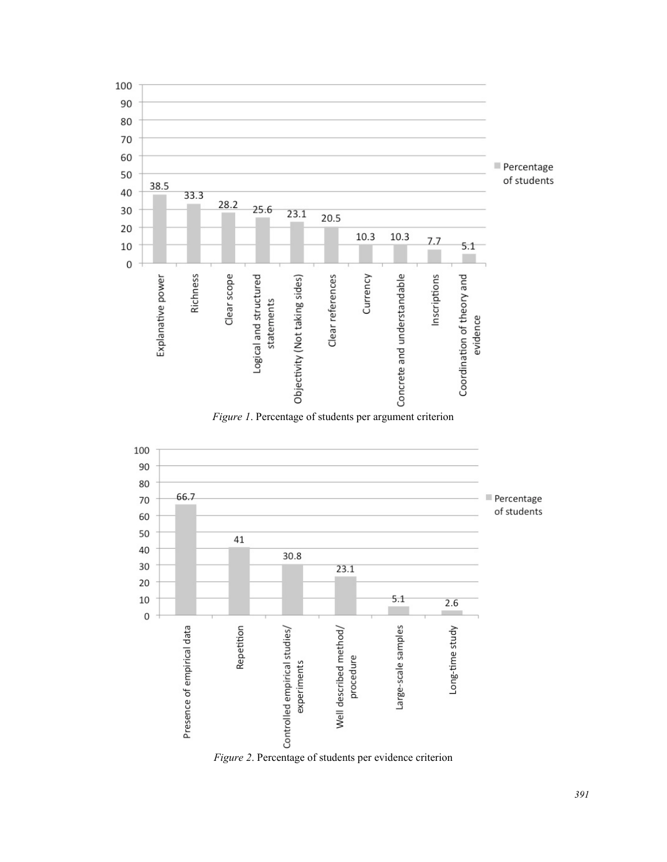

*Figure 1*. Percentage of students per argument criterion



*Figure 2*. Percentage of students per evidence criterion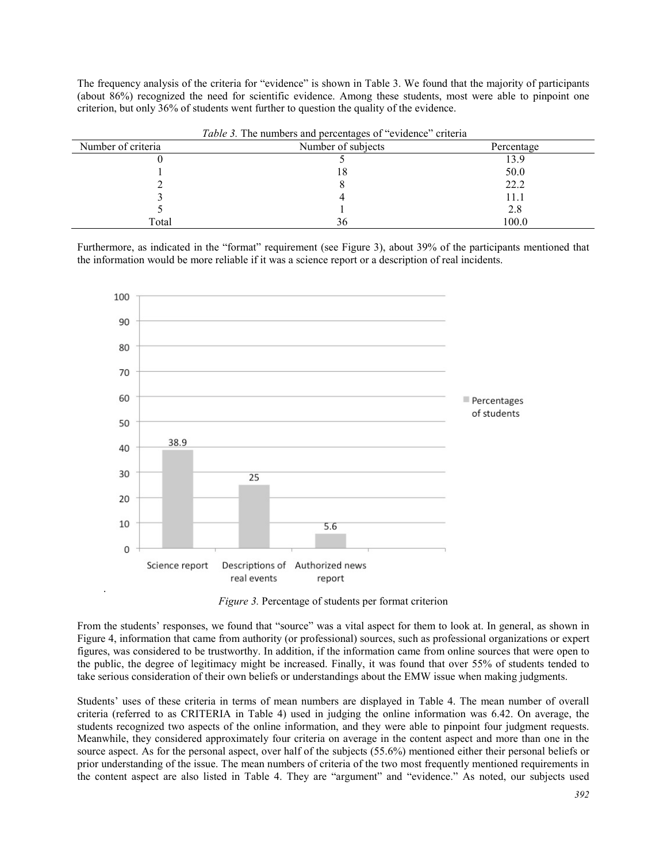The frequency analysis of the criteria for "evidence" is shown in Table 3. We found that the majority of participants (about 86%) recognized the need for scientific evidence. Among these students, most were able to pinpoint one criterion, but only 36% of students went further to question the quality of the evidence.

|                    | <i>Tuble 5.</i> The numbers and percentages of condence criteria |            |
|--------------------|------------------------------------------------------------------|------------|
| Number of criteria | Number of subjects                                               | Percentage |
|                    |                                                                  |            |
|                    |                                                                  | 50.0       |
|                    |                                                                  | 22.2       |
|                    |                                                                  |            |
|                    |                                                                  | 2.8        |
| Total              |                                                                  | 100.0      |

*Table 3.* The numbers and percentages of "evidence" criteria

Furthermore, as indicated in the "format" requirement (see Figure 3), about 39% of the participants mentioned that the information would be more reliable if it was a science report or a description of real incidents.



*Figure 3.* Percentage of students per format criterion

From the students' responses, we found that "source" was a vital aspect for them to look at. In general, as shown in Figure 4, information that came from authority (or professional) sources, such as professional organizations or expert figures, was considered to be trustworthy. In addition, if the information came from online sources that were open to the public, the degree of legitimacy might be increased. Finally, it was found that over 55% of students tended to take serious consideration of their own beliefs or understandings about the EMW issue when making judgments.

Students' uses of these criteria in terms of mean numbers are displayed in Table 4. The mean number of overall criteria (referred to as CRITERIA in Table 4) used in judging the online information was 6.42. On average, the students recognized two aspects of the online information, and they were able to pinpoint four judgment requests. Meanwhile, they considered approximately four criteria on average in the content aspect and more than one in the source aspect. As for the personal aspect, over half of the subjects (55.6%) mentioned either their personal beliefs or prior understanding of the issue. The mean numbers of criteria of the two most frequently mentioned requirements in the content aspect are also listed in Table 4. They are "argument" and "evidence." As noted, our subjects used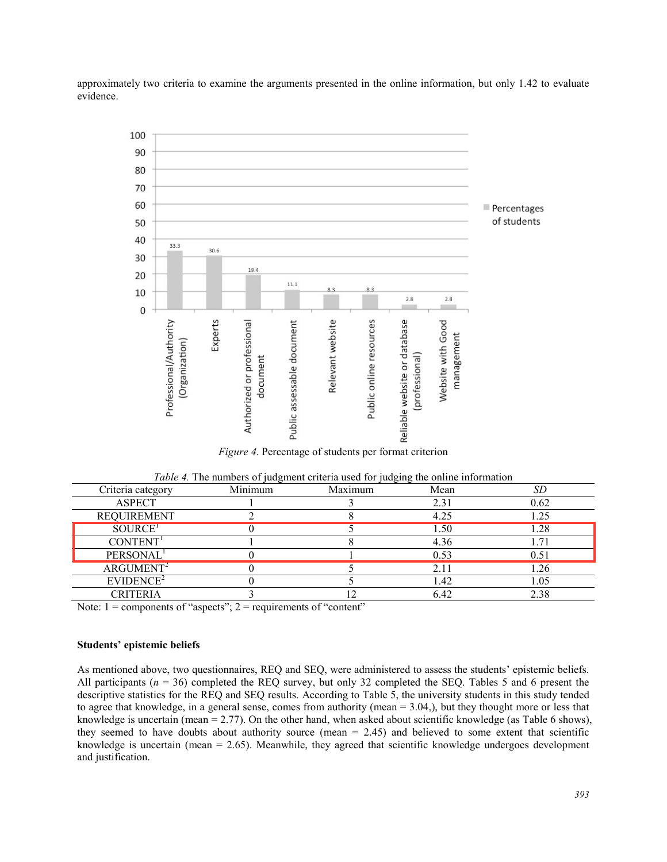approximately two criteria to examine the arguments presented in the online information, but only 1.42 to evaluate evidence.



*Figure 4.* Percentage of students per format criterion

| Criteria category     | Minimum | - - -<br>Maximum | Mean | SĽ   |
|-----------------------|---------|------------------|------|------|
| <b>ASPECT</b>         |         |                  | 2.31 | 0.62 |
| <b>REQUIREMENT</b>    |         |                  | 4.25 | 1.25 |
| SOURCE <sup>T</sup>   |         |                  | 1.50 | l.28 |
| CONTENT <sup>1</sup>  |         |                  | 4.36 |      |
| PERSONAL <sup>1</sup> |         |                  | 0.53 | 0.51 |
| $ARGUMENT^2$          |         |                  | 2.11 | 1.26 |
| EVIDENCE <sup>2</sup> |         |                  | 1.42 | 1.05 |
| CRITERIA              |         |                  | 6.42 | 2.38 |

| Table 4. The numbers of judgment criteria used for judging the online information |  |  |  |  |
|-----------------------------------------------------------------------------------|--|--|--|--|
|                                                                                   |  |  |  |  |

Note:  $1 =$  components of "aspects";  $2 =$  requirements of "content"

## **Students' epistemic beliefs**

As mentioned above, two questionnaires, REQ and SEQ, were administered to assess the students' epistemic beliefs. All participants ( $n = 36$ ) completed the REQ survey, but only 32 completed the SEQ. Tables 5 and 6 present the descriptive statistics for the REQ and SEQ results. According to Table 5, the university students in this study tended to agree that knowledge, in a general sense, comes from authority (mean = 3.04,), but they thought more or less that knowledge is uncertain (mean = 2.77). On the other hand, when asked about scientific knowledge (as Table 6 shows), they seemed to have doubts about authority source (mean  $= 2.45$ ) and believed to some extent that scientific knowledge is uncertain (mean = 2.65). Meanwhile, they agreed that scientific knowledge undergoes development and justification.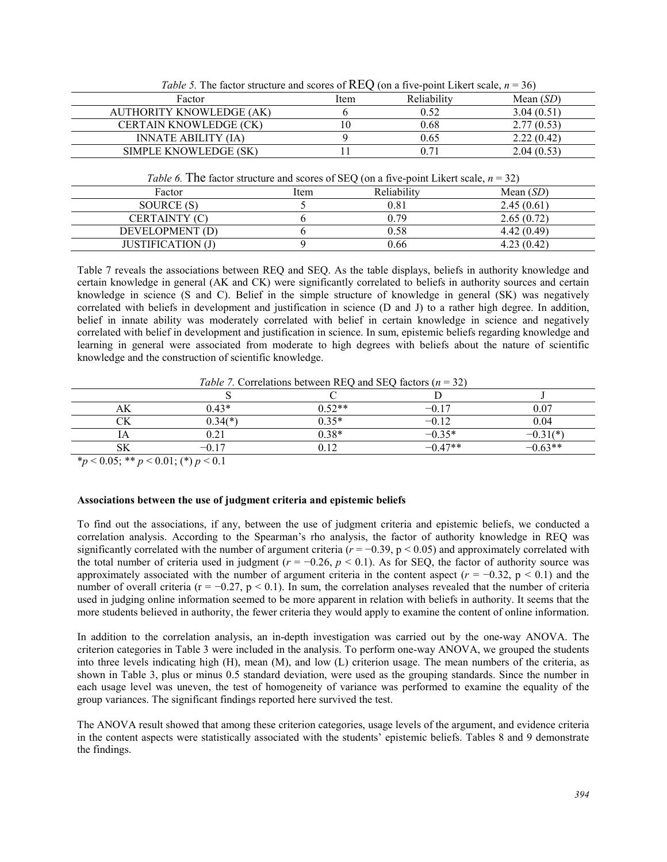| Table 5. The factor structure and scores of REQ (on a five-point Likert scale, $n = 36$ ) |      |             |             |  |  |  |  |
|-------------------------------------------------------------------------------------------|------|-------------|-------------|--|--|--|--|
| Factor                                                                                    | Item | Reliability | Mean $(SD)$ |  |  |  |  |
| AUTHORITY KNOWLEDGE (AK)                                                                  |      | 0.52        | 3.04(0.51)  |  |  |  |  |
| <b>CERTAIN KNOWLEDGE (CK)</b>                                                             |      | 0.68        | 2.77(0.53)  |  |  |  |  |
| <b>INNATE ABILITY (IA)</b>                                                                |      | 0.65        | 2.22(0.42)  |  |  |  |  |
| SIMPLE KNOWLEDGE (SK)                                                                     |      | 0 71        | 2.04(0.53)  |  |  |  |  |
|                                                                                           |      |             |             |  |  |  |  |

 $T_{\rm eff}$   $\sim$   $T_{\rm eff}$   $\sim$   $T_{\rm eff}$  structure and scores of  $R_{\rm eff}$  scale,  $\sim$  36)

| <i>Table 6.</i> The factor structure and scores of SEQ (on a five-point Likert scale, $n = 32$ ) |  |  |
|--------------------------------------------------------------------------------------------------|--|--|
|--------------------------------------------------------------------------------------------------|--|--|

|                   |      | $\sim$      |             |
|-------------------|------|-------------|-------------|
| Factor            | Item | Reliability | Mean $(SD)$ |
| SOURCE (S)        |      | 0.81        | 2.45(0.61)  |
| CERTAINTY (C)     |      | 0.79        | 2.65(0.72)  |
| DEVELOPMENT (D)   |      | 0.58        | 4.42(0.49)  |
| JUSTIFICATION (J) |      | 0.66        | 4.23(0.42)  |

Table 7 reveals the associations between REQ and SEQ. As the table displays, beliefs in authority knowledge and certain knowledge in general (AK and CK) were significantly correlated to beliefs in authority sources and certain knowledge in science (S and C). Belief in the simple structure of knowledge in general (SK) was negatively correlated with beliefs in development and justification in science (D and J) to a rather high degree. In addition, belief in innate ability was moderately correlated with belief in certain knowledge in science and negatively correlated with belief in development and justification in science. In sum, epistemic beliefs regarding knowledge and learning in general were associated from moderate to high degrees with beliefs about the nature of scientific knowledge and the construction of scientific knowledge.

| <i>Table /</i> . Correlations between REQ and SEQ factors $(n = 32)$ |           |          |           |             |  |  |  |
|----------------------------------------------------------------------|-----------|----------|-----------|-------------|--|--|--|
|                                                                      |           |          |           |             |  |  |  |
|                                                                      | 0.43*     | $0.52**$ | $-0.17$   |             |  |  |  |
|                                                                      | $0.34(*)$ | $0.35*$  | $-0.12$   | 0.04        |  |  |  |
|                                                                      |           | $0.38*$  | $-0.35*$  | $-0.31$ (*) |  |  |  |
|                                                                      | $-0.17$   |          | $-0.47**$ | $-0.63**$   |  |  |  |

 $T<sub>ab1a</sub>$  7. Correlations between  $\overline{DEO}$  and  $\overline{SEO}$  factors (*n* 

 $*_{p}$  < 0.05; \*\* *p* < 0.01; (\*) *p* < 0.1

## **Associations between the use of judgment criteria and epistemic beliefs**

To find out the associations, if any, between the use of judgment criteria and epistemic beliefs, we conducted a correlation analysis. According to the Spearman's rho analysis, the factor of authority knowledge in REQ was significantly correlated with the number of argument criteria  $(r = -0.39, p < 0.05)$  and approximately correlated with the total number of criteria used in judgment ( $r = -0.26$ ,  $p < 0.1$ ). As for SEQ, the factor of authority source was approximately associated with the number of argument criteria in the content aspect ( $r = -0.32$ ,  $p < 0.1$ ) and the number of overall criteria ( $r = -0.27$ ,  $p < 0.1$ ). In sum, the correlation analyses revealed that the number of criteria used in judging online information seemed to be more apparent in relation with beliefs in authority. It seems that the more students believed in authority, the fewer criteria they would apply to examine the content of online information.

In addition to the correlation analysis, an in-depth investigation was carried out by the one-way ANOVA. The criterion categories in Table 3 were included in the analysis. To perform one-way ANOVA, we grouped the students into three levels indicating high (H), mean (M), and low (L) criterion usage. The mean numbers of the criteria, as shown in Table 3, plus or minus 0.5 standard deviation, were used as the grouping standards. Since the number in each usage level was uneven, the test of homogeneity of variance was performed to examine the equality of the group variances. The significant findings reported here survived the test.

The ANOVA result showed that among these criterion categories, usage levels of the argument, and evidence criteria in the content aspects were statistically associated with the students' epistemic beliefs. Tables 8 and 9 demonstrate the findings.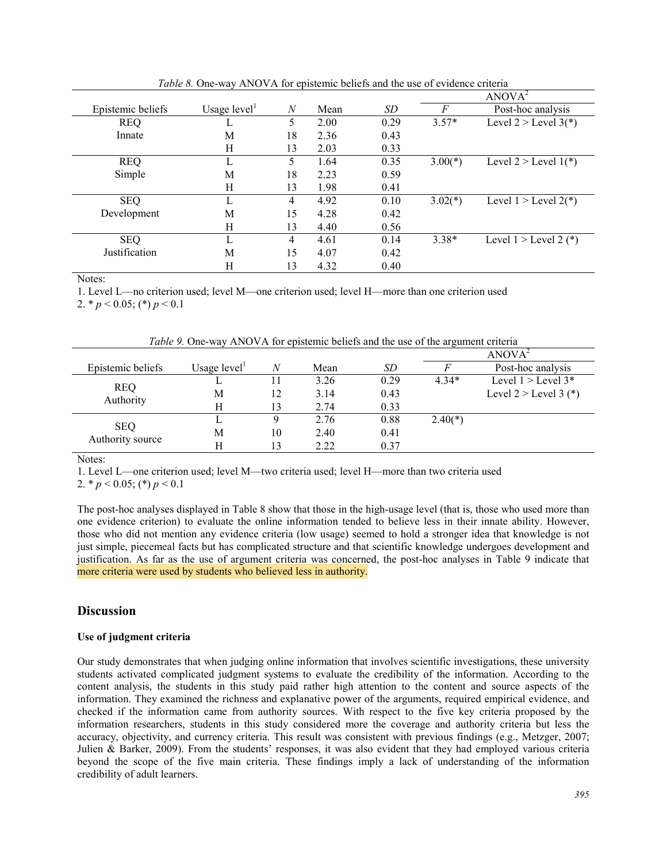|                   |                |                |      |      |           | ANOVA <sup>2</sup>        |
|-------------------|----------------|----------------|------|------|-----------|---------------------------|
| Epistemic beliefs | Usage $level1$ | $\overline{N}$ | Mean | SD   | F         | Post-hoc analysis         |
| <b>REQ</b>        | ⊥              | 5              | 2.00 | 0.29 | $3.57*$   | Level $2 >$ Level $3(*)$  |
| Innate            | M              | 18             | 2.36 | 0.43 |           |                           |
|                   | H              | 13             | 2.03 | 0.33 |           |                           |
| <b>REQ</b>        |                | 5              | 1.64 | 0.35 | $3.00(*)$ | Level $2 >$ Level $1(*)$  |
| Simple            | M              | 18             | 2.23 | 0.59 |           |                           |
|                   | H              | 13             | 1.98 | 0.41 |           |                           |
| <b>SEQ</b>        |                | 4              | 4.92 | 0.10 | $3.02(*)$ | Level $1 >$ Level $2(*)$  |
| Development       | M              | 15             | 4.28 | 0.42 |           |                           |
|                   | Η              | 13             | 4.40 | 0.56 |           |                           |
| <b>SEQ</b>        |                | 4              | 4.61 | 0.14 | $3.38*$   | Level $1 >$ Level 2 $(*)$ |
| Justification     | M              | 15             | 4.07 | 0.42 |           |                           |
|                   | Η              | 13             | 4.32 | 0.40 |           |                           |

*Table 8.* One-way ANOVA for epistemic beliefs and the use of evidence criteria

Notes:

1. Level L—no criterion used; level M—one criterion used; level H—more than one criterion used

2.  $\ast p < 0.05$ ; ( $\ast$ )  $p < 0.1$ 

*Table 9.* One-way ANOVA for epistemic beliefs and the use of the argument criteria

|                         |                |    |      |      |           | ANOVA <sup>2</sup>      |
|-------------------------|----------------|----|------|------|-----------|-------------------------|
| Epistemic beliefs       | Usage $level1$ | N  | Mean | SD   |           | Post-hoc analysis       |
|                         |                |    | 3.26 | 0.29 | $4.34*$   | Level $1 >$ Level $3^*$ |
| <b>REQ</b><br>Authority | M              | 12 | 3.14 | 0.43 |           | Level $2 >$ Level 3 (*) |
|                         | Н              |    | 2.74 | 0.33 |           |                         |
|                         |                |    | 2.76 | 0.88 | $2.40(*)$ |                         |
| <b>SEQ</b>              | M              | 10 | 2.40 | 0.41 |           |                         |
| Authority source        | H              |    | 2.22 | 0.37 |           |                         |

Notes:

1. Level L—one criterion used; level M—two criteria used; level H—more than two criteria used

2.  $\binom{p}{0.05}$ ; (\*)  $p \le 0.1$ 

The post-hoc analyses displayed in Table 8 show that those in the high-usage level (that is, those who used more than one evidence criterion) to evaluate the online information tended to believe less in their innate ability. However, those who did not mention any evidence criteria (low usage) seemed to hold a stronger idea that knowledge is not just simple, piecemeal facts but has complicated structure and that scientific knowledge undergoes development and justification. As far as the use of argument criteria was concerned, the post-hoc analyses in Table 9 indicate that more criteria were used by students who believed less in authority.

## **Discussion**

## **Use of judgment criteria**

Our study demonstrates that when judging online information that involves scientific investigations, these university students activated complicated judgment systems to evaluate the credibility of the information. According to the content analysis, the students in this study paid rather high attention to the content and source aspects of the information. They examined the richness and explanative power of the arguments, required empirical evidence, and checked if the information came from authority sources. With respect to the five key criteria proposed by the information researchers, students in this study considered more the coverage and authority criteria but less the accuracy, objectivity, and currency criteria. This result was consistent with previous findings (e.g., Metzger, 2007; Julien & Barker, 2009). From the students' responses, it was also evident that they had employed various criteria beyond the scope of the five main criteria. These findings imply a lack of understanding of the information credibility of adult learners.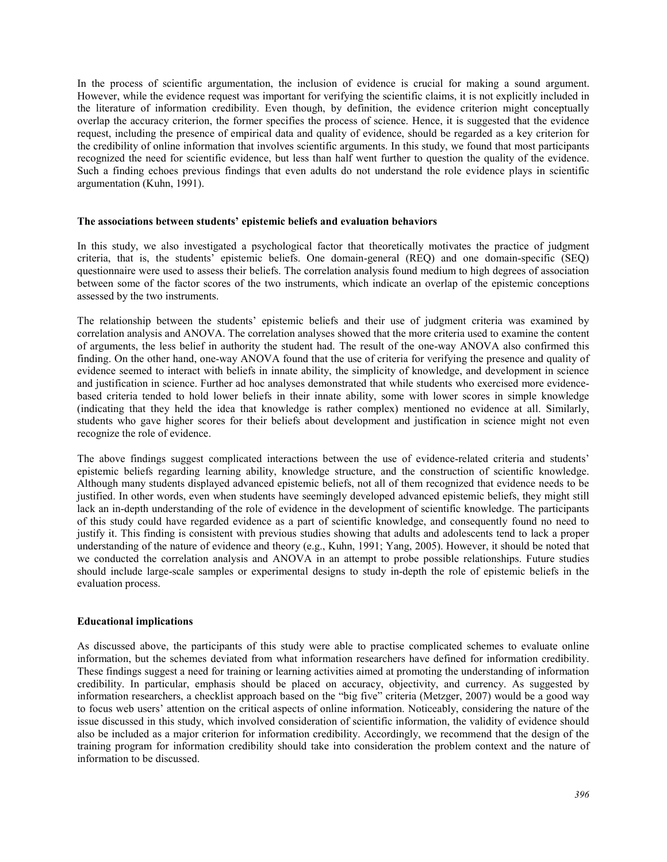In the process of scientific argumentation, the inclusion of evidence is crucial for making a sound argument. However, while the evidence request was important for verifying the scientific claims, it is not explicitly included in the literature of information credibility. Even though, by definition, the evidence criterion might conceptually overlap the accuracy criterion, the former specifies the process of science. Hence, it is suggested that the evidence request, including the presence of empirical data and quality of evidence, should be regarded as a key criterion for the credibility of online information that involves scientific arguments. In this study, we found that most participants recognized the need for scientific evidence, but less than half went further to question the quality of the evidence. Such a finding echoes previous findings that even adults do not understand the role evidence plays in scientific argumentation (Kuhn, 1991).

## **The associations between students' epistemic beliefs and evaluation behaviors**

In this study, we also investigated a psychological factor that theoretically motivates the practice of judgment criteria, that is, the students' epistemic beliefs. One domain-general (REQ) and one domain-specific (SEQ) questionnaire were used to assess their beliefs. The correlation analysis found medium to high degrees of association between some of the factor scores of the two instruments, which indicate an overlap of the epistemic conceptions assessed by the two instruments.

The relationship between the students' epistemic beliefs and their use of judgment criteria was examined by correlation analysis and ANOVA. The correlation analyses showed that the more criteria used to examine the content of arguments, the less belief in authority the student had. The result of the one-way ANOVA also confirmed this finding. On the other hand, one-way ANOVA found that the use of criteria for verifying the presence and quality of evidence seemed to interact with beliefs in innate ability, the simplicity of knowledge, and development in science and justification in science. Further ad hoc analyses demonstrated that while students who exercised more evidencebased criteria tended to hold lower beliefs in their innate ability, some with lower scores in simple knowledge (indicating that they held the idea that knowledge is rather complex) mentioned no evidence at all. Similarly, students who gave higher scores for their beliefs about development and justification in science might not even recognize the role of evidence.

The above findings suggest complicated interactions between the use of evidence-related criteria and students' epistemic beliefs regarding learning ability, knowledge structure, and the construction of scientific knowledge. Although many students displayed advanced epistemic beliefs, not all of them recognized that evidence needs to be justified. In other words, even when students have seemingly developed advanced epistemic beliefs, they might still lack an in-depth understanding of the role of evidence in the development of scientific knowledge. The participants of this study could have regarded evidence as a part of scientific knowledge, and consequently found no need to justify it. This finding is consistent with previous studies showing that adults and adolescents tend to lack a proper understanding of the nature of evidence and theory (e.g., Kuhn, 1991; Yang, 2005). However, it should be noted that we conducted the correlation analysis and ANOVA in an attempt to probe possible relationships. Future studies should include large-scale samples or experimental designs to study in-depth the role of epistemic beliefs in the evaluation process.

## **Educational implications**

As discussed above, the participants of this study were able to practise complicated schemes to evaluate online information, but the schemes deviated from what information researchers have defined for information credibility. These findings suggest a need for training or learning activities aimed at promoting the understanding of information credibility. In particular, emphasis should be placed on accuracy, objectivity, and currency. As suggested by information researchers, a checklist approach based on the "big five" criteria (Metzger, 2007) would be a good way to focus web users' attention on the critical aspects of online information. Noticeably, considering the nature of the issue discussed in this study, which involved consideration of scientific information, the validity of evidence should also be included as a major criterion for information credibility. Accordingly, we recommend that the design of the training program for information credibility should take into consideration the problem context and the nature of information to be discussed.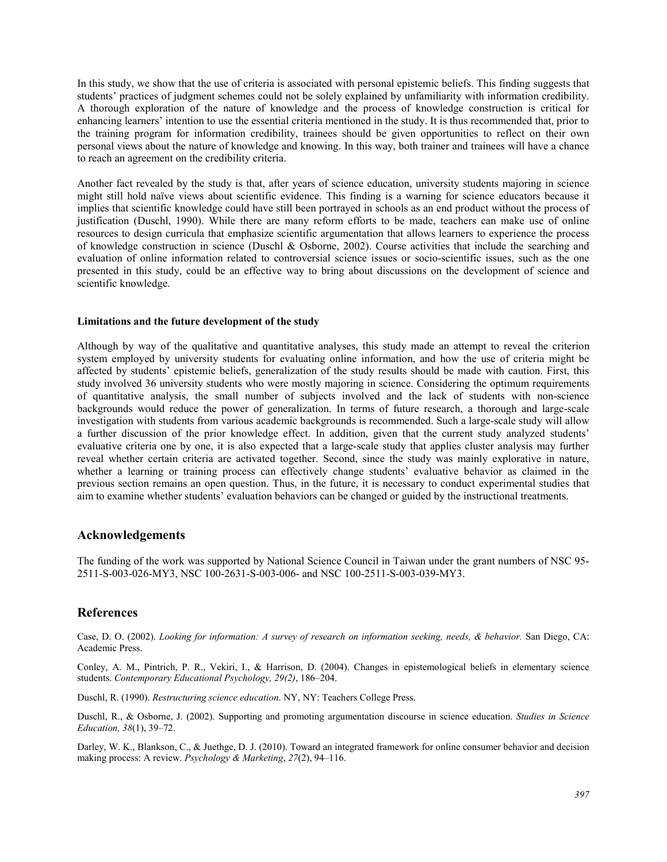In this study, we show that the use of criteria is associated with personal epistemic beliefs. This finding suggests that students' practices of judgment schemes could not be solely explained by unfamiliarity with information credibility. A thorough exploration of the nature of knowledge and the process of knowledge construction is critical for enhancing learners' intention to use the essential criteria mentioned in the study. It is thus recommended that, prior to the training program for information credibility, trainees should be given opportunities to reflect on their own personal views about the nature of knowledge and knowing. In this way, both trainer and trainees will have a chance to reach an agreement on the credibility criteria.

Another fact revealed by the study is that, after years of science education, university students majoring in science might still hold naïve views about scientific evidence. This finding is a warning for science educators because it implies that scientific knowledge could have still been portrayed in schools as an end product without the process of justification (Duschl, 1990). While there are many reform efforts to be made, teachers can make use of online resources to design curricula that emphasize scientific argumentation that allows learners to experience the process of knowledge construction in science (Duschl & Osborne, 2002). Course activities that include the searching and evaluation of online information related to controversial science issues or socio-scientific issues, such as the one presented in this study, could be an effective way to bring about discussions on the development of science and scientific knowledge.

#### **Limitations and the future development of the study**

Although by way of the qualitative and quantitative analyses, this study made an attempt to reveal the criterion system employed by university students for evaluating online information, and how the use of criteria might be affected by students' epistemic beliefs, generalization of the study results should be made with caution. First, this study involved 36 university students who were mostly majoring in science. Considering the optimum requirements of quantitative analysis, the small number of subjects involved and the lack of students with non-science backgrounds would reduce the power of generalization. In terms of future research, a thorough and large-scale investigation with students from various academic backgrounds is recommended. Such a large-scale study will allow a further discussion of the prior knowledge effect. In addition, given that the current study analyzed students' evaluative criteria one by one, it is also expected that a large-scale study that applies cluster analysis may further reveal whether certain criteria are activated together. Second, since the study was mainly explorative in nature, whether a learning or training process can effectively change students' evaluative behavior as claimed in the previous section remains an open question. Thus, in the future, it is necessary to conduct experimental studies that aim to examine whether students' evaluation behaviors can be changed or guided by the instructional treatments.

## **Acknowledgements**

The funding of the work was supported by National Science Council in Taiwan under the grant numbers of NSC [95-](https://nscnt12.nsc.gov.tw/RS09/Modules/Personal/Personal_Researcher_index.aspx) [2511-S-003-026-MY3,](https://nscnt12.nsc.gov.tw/RS09/Modules/Personal/Personal_Researcher_index.aspx) NSC 100-2631-S-003-006- and NSC 100-2511-S-003-039-MY3.

## **References**

Case, D. O. (2002). *Looking for information: A survey of research on information seeking, needs, & behavior.* San Diego, CA: Academic Press.

Conley, A. M., Pintrich, P. R., Vekiri, I., & Harrison, D. (2004). Changes in epistemological beliefs in elementary science students. *Contemporary Educational Psychology, 29(2)*, 186–204.

Duschl, R. (1990). *Restructuring science education*. NY, NY: Teachers College Press.

Duschl, R., & Osborne, J. (2002). Supporting and promoting argumentation discourse in science education. *Studies in Science Education, 38*(1), 39–72.

Darley, W. K., Blankson, C., & Juethge, D. J. (2010). Toward an integrated framework for online consumer behavior and decision making process: A review. *Psychology & Marketing*, *27*(2), 94–116.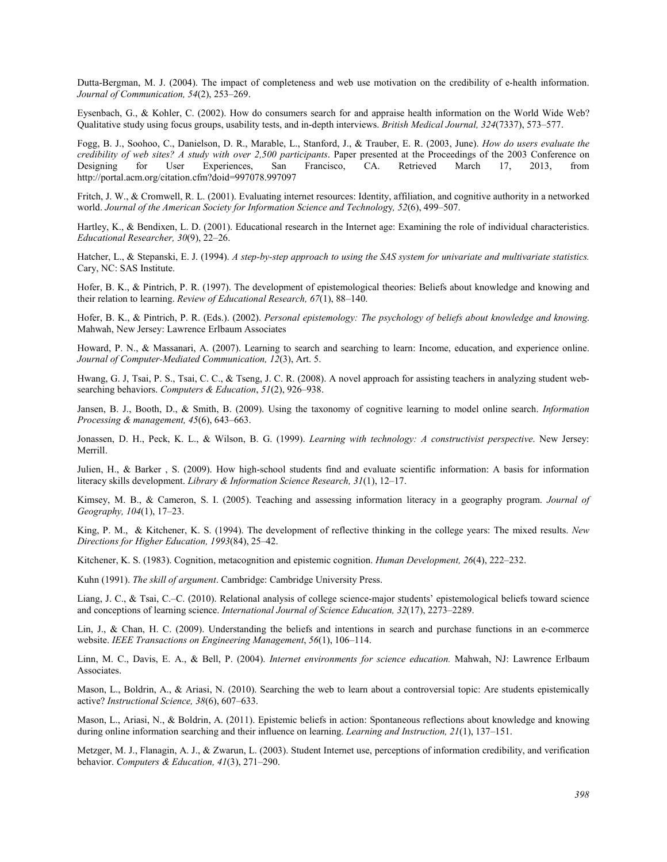Dutta-Bergman, M. J. (2004). The impact of completeness and web use motivation on the credibility of e-health information. *Journal of Communication, 54*(2), 253–269.

Eysenbach, G., & Kohler, C. (2002). How do consumers search for and appraise health information on the World Wide Web? Qualitative study using focus groups, usability tests, and in-depth interviews. *British Medical Journal, 324*(7337), 573–577.

Fogg, B. J., Soohoo, C., Danielson, D. R., Marable, L., Stanford, J., & Trauber, E. R. (2003, June). *How do users evaluate the credibility of web sites? A study with over 2,500 participants*. Paper presented at the Proceedings of the 2003 Conference on Designing for User Experiences, San Francisco, CA. Retrieved March 17, 2013, from http://portal.acm.org/citation.cfm?doid=997078.997097

Fritch, J. W., & Cromwell, R. L. (2001). Evaluating internet resources: Identity, affiliation, and cognitive authority in a networked world. *Journal of the American Society for Information Science and Technolog*y*, 52*(6), 499–507.

Hartley, K., & Bendixen, L. D. (2001). Educational research in the Internet age: Examining the role of individual characteristics. *Educational Researcher, 30*(9), 22–26.

Hatcher, L., & Stepanski, E. J. (1994). *A step-by-step approach to using the SAS system for univariate and multivariate statistics.*  Cary, NC: SAS Institute.

Hofer, B. K., & Pintrich, P. R. (1997). The development of epistemological theories: Beliefs about knowledge and knowing and their relation to learning. *Review of Educational Research, 67*(1), 88–140.

Hofer, B. K., & Pintrich, P. R. (Eds.). (2002). *Personal epistemology: The psychology of beliefs about knowledge and knowing*. Mahwah, New Jersey: Lawrence Erlbaum Associates

Howard, P. N., & Massanari, A. (2007). Learning to search and searching to learn: Income, education, and experience online. *Journal of Computer-Mediated Communication, 12*(3), Art. 5.

Hwang, G. J, Tsai, P. S., Tsai, C. C., & Tseng, J. C. R. (2008). A novel approach for assisting teachers in analyzing student websearching behaviors. *Computers & Education*, *51*(2), 926–938.

Jansen, B. J., Booth, D., & Smith, B. (2009). Using the taxonomy of cognitive learning to model online search. *Information Processing & management, 45*(6), 643–663.

Jonassen, D. H., Peck, K. L., & Wilson, B. G. (1999). *Learning with technology: A constructivist perspective*. New Jersey: Merrill.

Julien, H., & Barker , S. (2009). How high-school students find and evaluate scientific information: A basis for information literacy skills development. *Library & Information Science Research, 31*(1), 12–17.

Kimsey, M. B., & Cameron, S. I. (2005). Teaching and assessing information literacy in a geography program. *Journal of Geography, 104*(1), 17–23.

King, P. M., & Kitchener, K. S. (1994). The development of reflective thinking in the college years: The mixed results. *New Directions for Higher Education, 1993*(84), 25–42.

Kitchener, K. S. (1983). Cognition, metacognition and epistemic cognition. *Human Development, 26*(4), 222–232.

Kuhn (1991). *The skill of argument*. Cambridge: Cambridge University Press.

Liang, J. C., & Tsai, C.–C. (2010). Relational analysis of college science-major students' epistemological beliefs toward science and conceptions of learning science. *International Journal of Science Education, 32*(17), 2273–2289.

Lin, J., & Chan, H. C. (2009). Understanding the beliefs and intentions in search and purchase functions in an e-commerce website. *IEEE Transactions on Engineering Management*, *56*(1), 106–114.

Linn, M. C., Davis, E. A., & Bell, P. (2004). *Internet environments for science education.* Mahwah, NJ: Lawrence Erlbaum Associates.

Mason, L., Boldrin, A., & Ariasi, N. (2010). Searching the web to learn about a controversial topic: Are students epistemically active? *Instructional Science, 38*(6), 607–633.

Mason, L., Ariasi, N., & Boldrin, A. (2011). Epistemic beliefs in action: Spontaneous reflections about knowledge and knowing during online information searching and their influence on learning. *Learning and Instruction, 21*(1), 137–151.

Metzger, M. J., Flanagin, A. J., & Zwarun, L. (2003). Student Internet use, perceptions of information credibility, and verification behavior. *Computers & Education, 41*(3), 271–290.